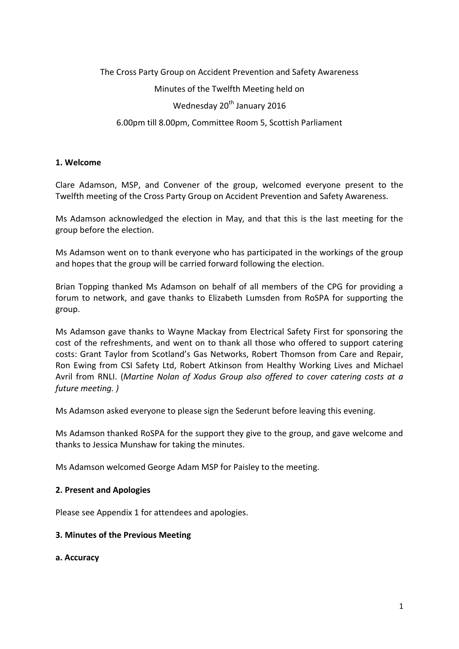# The Cross Party Group on Accident Prevention and Safety Awareness Minutes of the Twelfth Meeting held on

# Wednesday 20<sup>th</sup> January 2016

6.00pm till 8.00pm, Committee Room 5, Scottish Parliament

## **1. Welcome**

Clare Adamson, MSP, and Convener of the group, welcomed everyone present to the Twelfth meeting of the Cross Party Group on Accident Prevention and Safety Awareness.

Ms Adamson acknowledged the election in May, and that this is the last meeting for the group before the election.

Ms Adamson went on to thank everyone who has participated in the workings of the group and hopes that the group will be carried forward following the election.

Brian Topping thanked Ms Adamson on behalf of all members of the CPG for providing a forum to network, and gave thanks to Elizabeth Lumsden from RoSPA for supporting the group.

Ms Adamson gave thanks to Wayne Mackay from Electrical Safety First for sponsoring the cost of the refreshments, and went on to thank all those who offered to support catering costs: Grant Taylor from Scotland's Gas Networks, Robert Thomson from Care and Repair, Ron Ewing from CSI Safety Ltd, Robert Atkinson from Healthy Working Lives and Michael Avril from RNLI. (*Martine Nolan of Xodus Group also offered to cover catering costs at a future meeting. )*

Ms Adamson asked everyone to please sign the Sederunt before leaving this evening.

Ms Adamson thanked RoSPA for the support they give to the group, and gave welcome and thanks to Jessica Munshaw for taking the minutes.

Ms Adamson welcomed George Adam MSP for Paisley to the meeting.

## **2. Present and Apologies**

Please see Appendix 1 for attendees and apologies.

## **3. Minutes of the Previous Meeting**

#### **a. Accuracy**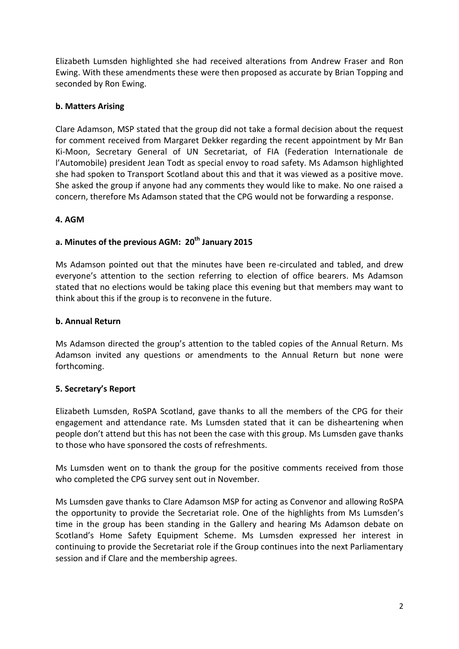Elizabeth Lumsden highlighted she had received alterations from Andrew Fraser and Ron Ewing. With these amendments these were then proposed as accurate by Brian Topping and seconded by Ron Ewing.

## **b. Matters Arising**

Clare Adamson, MSP stated that the group did not take a formal decision about the request for comment received from Margaret Dekker regarding the recent appointment by Mr Ban Ki-Moon, Secretary General of UN Secretariat, of FIA (Federation Internationale de l'Automobile) president Jean Todt as special envoy to road safety. Ms Adamson highlighted she had spoken to Transport Scotland about this and that it was viewed as a positive move. She asked the group if anyone had any comments they would like to make. No one raised a concern, therefore Ms Adamson stated that the CPG would not be forwarding a response.

## **4. AGM**

## **a. Minutes of the previous AGM: 20th January 2015**

Ms Adamson pointed out that the minutes have been re-circulated and tabled, and drew everyone's attention to the section referring to election of office bearers. Ms Adamson stated that no elections would be taking place this evening but that members may want to think about this if the group is to reconvene in the future.

## **b. Annual Return**

Ms Adamson directed the group's attention to the tabled copies of the Annual Return. Ms Adamson invited any questions or amendments to the Annual Return but none were forthcoming.

## **5. Secretary's Report**

Elizabeth Lumsden, RoSPA Scotland, gave thanks to all the members of the CPG for their engagement and attendance rate. Ms Lumsden stated that it can be disheartening when people don't attend but this has not been the case with this group. Ms Lumsden gave thanks to those who have sponsored the costs of refreshments.

Ms Lumsden went on to thank the group for the positive comments received from those who completed the CPG survey sent out in November.

Ms Lumsden gave thanks to Clare Adamson MSP for acting as Convenor and allowing RoSPA the opportunity to provide the Secretariat role. One of the highlights from Ms Lumsden's time in the group has been standing in the Gallery and hearing Ms Adamson debate on Scotland's Home Safety Equipment Scheme. Ms Lumsden expressed her interest in continuing to provide the Secretariat role if the Group continues into the next Parliamentary session and if Clare and the membership agrees.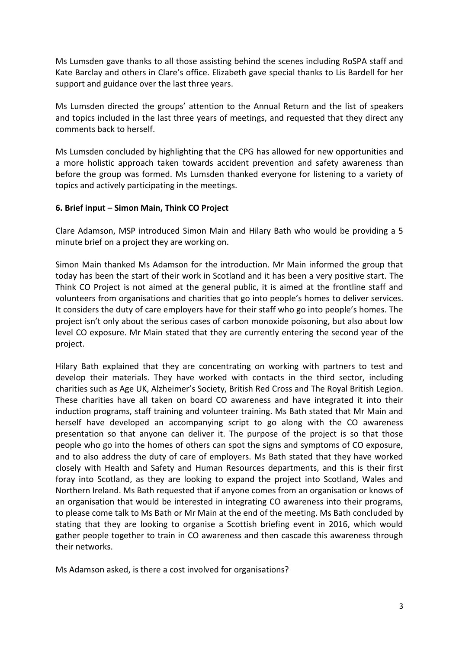Ms Lumsden gave thanks to all those assisting behind the scenes including RoSPA staff and Kate Barclay and others in Clare's office. Elizabeth gave special thanks to Lis Bardell for her support and guidance over the last three years.

Ms Lumsden directed the groups' attention to the Annual Return and the list of speakers and topics included in the last three years of meetings, and requested that they direct any comments back to herself.

Ms Lumsden concluded by highlighting that the CPG has allowed for new opportunities and a more holistic approach taken towards accident prevention and safety awareness than before the group was formed. Ms Lumsden thanked everyone for listening to a variety of topics and actively participating in the meetings.

#### **6. Brief input – Simon Main, Think CO Project**

Clare Adamson, MSP introduced Simon Main and Hilary Bath who would be providing a 5 minute brief on a project they are working on.

Simon Main thanked Ms Adamson for the introduction. Mr Main informed the group that today has been the start of their work in Scotland and it has been a very positive start. The Think CO Project is not aimed at the general public, it is aimed at the frontline staff and volunteers from organisations and charities that go into people's homes to deliver services. It considers the duty of care employers have for their staff who go into people's homes. The project isn't only about the serious cases of carbon monoxide poisoning, but also about low level CO exposure. Mr Main stated that they are currently entering the second year of the project.

Hilary Bath explained that they are concentrating on working with partners to test and develop their materials. They have worked with contacts in the third sector, including charities such as Age UK, Alzheimer's Society, British Red Cross and The Royal British Legion. These charities have all taken on board CO awareness and have integrated it into their induction programs, staff training and volunteer training. Ms Bath stated that Mr Main and herself have developed an accompanying script to go along with the CO awareness presentation so that anyone can deliver it. The purpose of the project is so that those people who go into the homes of others can spot the signs and symptoms of CO exposure, and to also address the duty of care of employers. Ms Bath stated that they have worked closely with Health and Safety and Human Resources departments, and this is their first foray into Scotland, as they are looking to expand the project into Scotland, Wales and Northern Ireland. Ms Bath requested that if anyone comes from an organisation or knows of an organisation that would be interested in integrating CO awareness into their programs, to please come talk to Ms Bath or Mr Main at the end of the meeting. Ms Bath concluded by stating that they are looking to organise a Scottish briefing event in 2016, which would gather people together to train in CO awareness and then cascade this awareness through their networks.

Ms Adamson asked, is there a cost involved for organisations?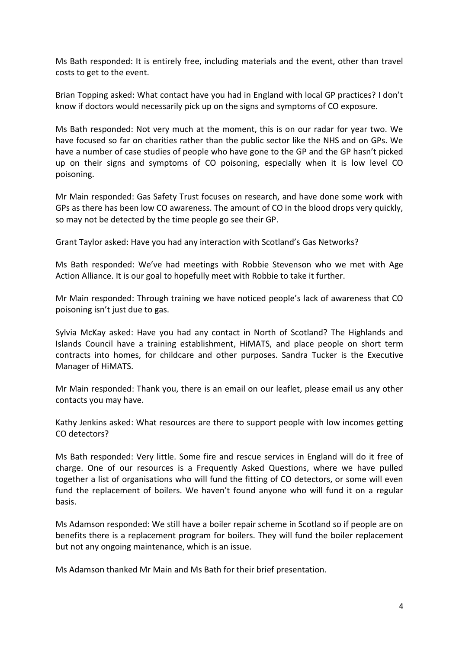Ms Bath responded: It is entirely free, including materials and the event, other than travel costs to get to the event.

Brian Topping asked: What contact have you had in England with local GP practices? I don't know if doctors would necessarily pick up on the signs and symptoms of CO exposure.

Ms Bath responded: Not very much at the moment, this is on our radar for year two. We have focused so far on charities rather than the public sector like the NHS and on GPs. We have a number of case studies of people who have gone to the GP and the GP hasn't picked up on their signs and symptoms of CO poisoning, especially when it is low level CO poisoning.

Mr Main responded: Gas Safety Trust focuses on research, and have done some work with GPs as there has been low CO awareness. The amount of CO in the blood drops very quickly, so may not be detected by the time people go see their GP.

Grant Taylor asked: Have you had any interaction with Scotland's Gas Networks?

Ms Bath responded: We've had meetings with Robbie Stevenson who we met with Age Action Alliance. It is our goal to hopefully meet with Robbie to take it further.

Mr Main responded: Through training we have noticed people's lack of awareness that CO poisoning isn't just due to gas.

Sylvia McKay asked: Have you had any contact in North of Scotland? The Highlands and Islands Council have a training establishment, HiMATS, and place people on short term contracts into homes, for childcare and other purposes. Sandra Tucker is the Executive Manager of HiMATS.

Mr Main responded: Thank you, there is an email on our leaflet, please email us any other contacts you may have.

Kathy Jenkins asked: What resources are there to support people with low incomes getting CO detectors?

Ms Bath responded: Very little. Some fire and rescue services in England will do it free of charge. One of our resources is a Frequently Asked Questions, where we have pulled together a list of organisations who will fund the fitting of CO detectors, or some will even fund the replacement of boilers. We haven't found anyone who will fund it on a regular basis.

Ms Adamson responded: We still have a boiler repair scheme in Scotland so if people are on benefits there is a replacement program for boilers. They will fund the boiler replacement but not any ongoing maintenance, which is an issue.

Ms Adamson thanked Mr Main and Ms Bath for their brief presentation.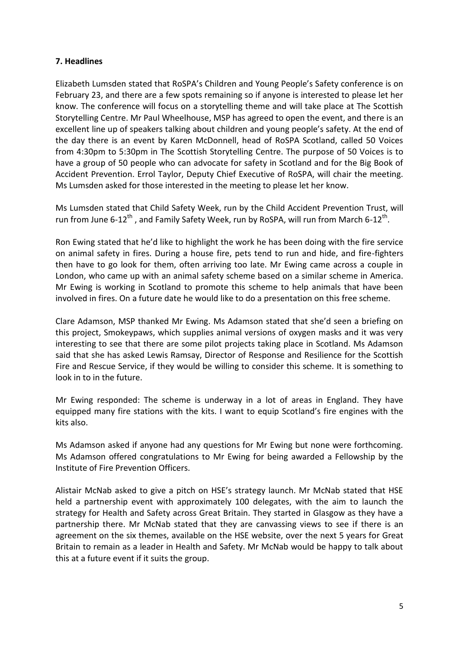## **7. Headlines**

Elizabeth Lumsden stated that RoSPA's Children and Young People's Safety conference is on February 23, and there are a few spots remaining so if anyone is interested to please let her know. The conference will focus on a storytelling theme and will take place at The Scottish Storytelling Centre. Mr Paul Wheelhouse, MSP has agreed to open the event, and there is an excellent line up of speakers talking about children and young people's safety. At the end of the day there is an event by Karen McDonnell, head of RoSPA Scotland, called 50 Voices from 4:30pm to 5:30pm in The Scottish Storytelling Centre. The purpose of 50 Voices is to have a group of 50 people who can advocate for safety in Scotland and for the Big Book of Accident Prevention. Errol Taylor, Deputy Chief Executive of RoSPA, will chair the meeting. Ms Lumsden asked for those interested in the meeting to please let her know.

Ms Lumsden stated that Child Safety Week, run by the Child Accident Prevention Trust, will run from June 6-12<sup>th</sup>, and Family Safety Week, run by RoSPA, will run from March 6-12<sup>th</sup>.

Ron Ewing stated that he'd like to highlight the work he has been doing with the fire service on animal safety in fires. During a house fire, pets tend to run and hide, and fire-fighters then have to go look for them, often arriving too late. Mr Ewing came across a couple in London, who came up with an animal safety scheme based on a similar scheme in America. Mr Ewing is working in Scotland to promote this scheme to help animals that have been involved in fires. On a future date he would like to do a presentation on this free scheme.

Clare Adamson, MSP thanked Mr Ewing. Ms Adamson stated that she'd seen a briefing on this project, Smokeypaws, which supplies animal versions of oxygen masks and it was very interesting to see that there are some pilot projects taking place in Scotland. Ms Adamson said that she has asked Lewis Ramsay, Director of Response and Resilience for the Scottish Fire and Rescue Service, if they would be willing to consider this scheme. It is something to look in to in the future.

Mr Ewing responded: The scheme is underway in a lot of areas in England. They have equipped many fire stations with the kits. I want to equip Scotland's fire engines with the kits also.

Ms Adamson asked if anyone had any questions for Mr Ewing but none were forthcoming. Ms Adamson offered congratulations to Mr Ewing for being awarded a Fellowship by the Institute of Fire Prevention Officers.

Alistair McNab asked to give a pitch on HSE's strategy launch. Mr McNab stated that HSE held a partnership event with approximately 100 delegates, with the aim to launch the strategy for Health and Safety across Great Britain. They started in Glasgow as they have a partnership there. Mr McNab stated that they are canvassing views to see if there is an agreement on the six themes, available on the HSE website, over the next 5 years for Great Britain to remain as a leader in Health and Safety. Mr McNab would be happy to talk about this at a future event if it suits the group.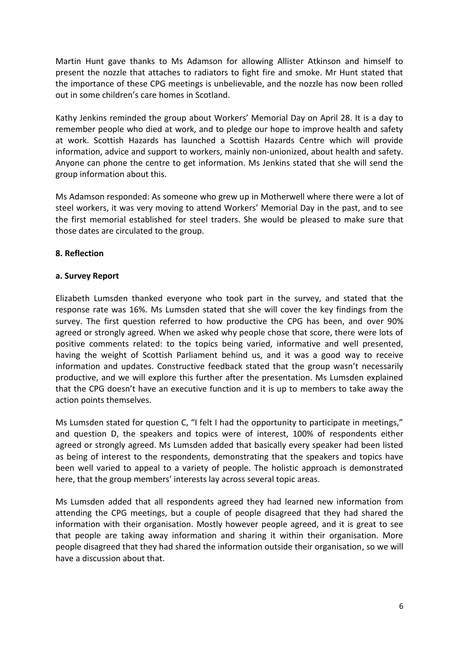Martin Hunt gave thanks to Ms Adamson for allowing Allister Atkinson and himself to present the nozzle that attaches to radiators to fight fire and smoke. Mr Hunt stated that the importance of these CPG meetings is unbelievable, and the nozzle has now been rolled out in some children's care homes in Scotland.

Kathy Jenkins reminded the group about Workers' Memorial Day on April 28. It is a day to remember people who died at work, and to pledge our hope to improve health and safety at work. Scottish Hazards has launched a Scottish Hazards Centre which will provide information, advice and support to workers, mainly non-unionized, about health and safety. Anyone can phone the centre to get information. Ms Jenkins stated that she will send the group information about this.

Ms Adamson responded: As someone who grew up in Motherwell where there were a lot of steel workers, it was very moving to attend Workers' Memorial Day in the past, and to see the first memorial established for steel traders. She would be pleased to make sure that those dates are circulated to the group.

#### **8. Reflection**

#### **a. Survey Report**

Elizabeth Lumsden thanked everyone who took part in the survey, and stated that the response rate was 16%. Ms Lumsden stated that she will cover the key findings from the survey. The first question referred to how productive the CPG has been, and over 90% agreed or strongly agreed. When we asked why people chose that score, there were lots of positive comments related: to the topics being varied, informative and well presented, having the weight of Scottish Parliament behind us, and it was a good way to receive information and updates. Constructive feedback stated that the group wasn't necessarily productive, and we will explore this further after the presentation. Ms Lumsden explained that the CPG doesn't have an executive function and it is up to members to take away the action points themselves.

Ms Lumsden stated for question C, "I felt I had the opportunity to participate in meetings," and question D, the speakers and topics were of interest, 100% of respondents either agreed or strongly agreed. Ms Lumsden added that basically every speaker had been listed as being of interest to the respondents, demonstrating that the speakers and topics have been well varied to appeal to a variety of people. The holistic approach is demonstrated here, that the group members' interests lay across several topic areas.

Ms Lumsden added that all respondents agreed they had learned new information from attending the CPG meetings, but a couple of people disagreed that they had shared the information with their organisation. Mostly however people agreed, and it is great to see that people are taking away information and sharing it within their organisation. More people disagreed that they had shared the information outside their organisation, so we will have a discussion about that.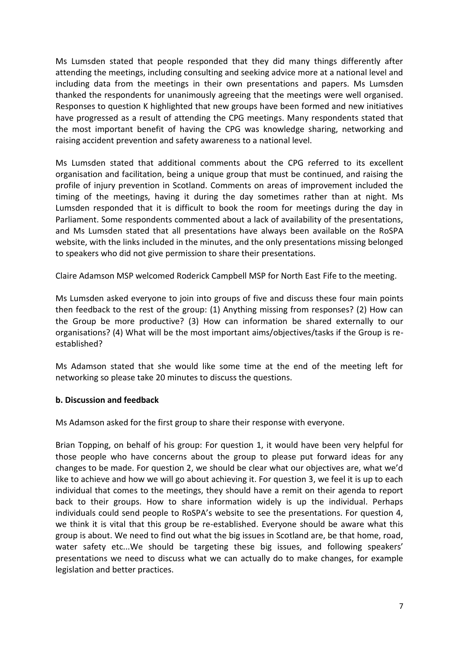Ms Lumsden stated that people responded that they did many things differently after attending the meetings, including consulting and seeking advice more at a national level and including data from the meetings in their own presentations and papers. Ms Lumsden thanked the respondents for unanimously agreeing that the meetings were well organised. Responses to question K highlighted that new groups have been formed and new initiatives have progressed as a result of attending the CPG meetings. Many respondents stated that the most important benefit of having the CPG was knowledge sharing, networking and raising accident prevention and safety awareness to a national level.

Ms Lumsden stated that additional comments about the CPG referred to its excellent organisation and facilitation, being a unique group that must be continued, and raising the profile of injury prevention in Scotland. Comments on areas of improvement included the timing of the meetings, having it during the day sometimes rather than at night. Ms Lumsden responded that it is difficult to book the room for meetings during the day in Parliament. Some respondents commented about a lack of availability of the presentations, and Ms Lumsden stated that all presentations have always been available on the RoSPA website, with the links included in the minutes, and the only presentations missing belonged to speakers who did not give permission to share their presentations.

Claire Adamson MSP welcomed Roderick Campbell MSP for North East Fife to the meeting.

Ms Lumsden asked everyone to join into groups of five and discuss these four main points then feedback to the rest of the group: (1) Anything missing from responses? (2) How can the Group be more productive? (3) How can information be shared externally to our organisations? (4) What will be the most important aims/objectives/tasks if the Group is reestablished?

Ms Adamson stated that she would like some time at the end of the meeting left for networking so please take 20 minutes to discuss the questions.

## **b. Discussion and feedback**

Ms Adamson asked for the first group to share their response with everyone.

Brian Topping, on behalf of his group: For question 1, it would have been very helpful for those people who have concerns about the group to please put forward ideas for any changes to be made. For question 2, we should be clear what our objectives are, what we'd like to achieve and how we will go about achieving it. For question 3, we feel it is up to each individual that comes to the meetings, they should have a remit on their agenda to report back to their groups. How to share information widely is up the individual. Perhaps individuals could send people to RoSPA's website to see the presentations. For question 4, we think it is vital that this group be re-established. Everyone should be aware what this group is about. We need to find out what the big issues in Scotland are, be that home, road, water safety etc...We should be targeting these big issues, and following speakers' presentations we need to discuss what we can actually do to make changes, for example legislation and better practices.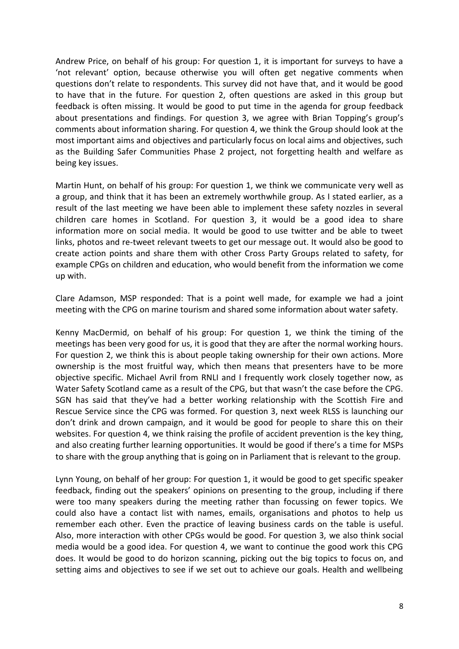Andrew Price, on behalf of his group: For question 1, it is important for surveys to have a 'not relevant' option, because otherwise you will often get negative comments when questions don't relate to respondents. This survey did not have that, and it would be good to have that in the future. For question 2, often questions are asked in this group but feedback is often missing. It would be good to put time in the agenda for group feedback about presentations and findings. For question 3, we agree with Brian Topping's group's comments about information sharing. For question 4, we think the Group should look at the most important aims and objectives and particularly focus on local aims and objectives, such as the Building Safer Communities Phase 2 project, not forgetting health and welfare as being key issues.

Martin Hunt, on behalf of his group: For question 1, we think we communicate very well as a group, and think that it has been an extremely worthwhile group. As I stated earlier, as a result of the last meeting we have been able to implement these safety nozzles in several children care homes in Scotland. For question 3, it would be a good idea to share information more on social media. It would be good to use twitter and be able to tweet links, photos and re-tweet relevant tweets to get our message out. It would also be good to create action points and share them with other Cross Party Groups related to safety, for example CPGs on children and education, who would benefit from the information we come up with.

Clare Adamson, MSP responded: That is a point well made, for example we had a joint meeting with the CPG on marine tourism and shared some information about water safety.

Kenny MacDermid, on behalf of his group: For question 1, we think the timing of the meetings has been very good for us, it is good that they are after the normal working hours. For question 2, we think this is about people taking ownership for their own actions. More ownership is the most fruitful way, which then means that presenters have to be more objective specific. Michael Avril from RNLI and I frequently work closely together now, as Water Safety Scotland came as a result of the CPG, but that wasn't the case before the CPG. SGN has said that they've had a better working relationship with the Scottish Fire and Rescue Service since the CPG was formed. For question 3, next week RLSS is launching our don't drink and drown campaign, and it would be good for people to share this on their websites. For question 4, we think raising the profile of accident prevention is the key thing, and also creating further learning opportunities. It would be good if there's a time for MSPs to share with the group anything that is going on in Parliament that is relevant to the group.

Lynn Young, on behalf of her group: For question 1, it would be good to get specific speaker feedback, finding out the speakers' opinions on presenting to the group, including if there were too many speakers during the meeting rather than focussing on fewer topics. We could also have a contact list with names, emails, organisations and photos to help us remember each other. Even the practice of leaving business cards on the table is useful. Also, more interaction with other CPGs would be good. For question 3, we also think social media would be a good idea. For question 4, we want to continue the good work this CPG does. It would be good to do horizon scanning, picking out the big topics to focus on, and setting aims and objectives to see if we set out to achieve our goals. Health and wellbeing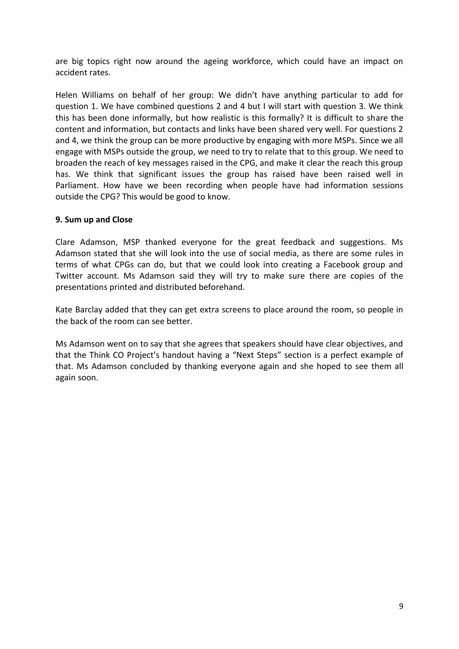are big topics right now around the ageing workforce, which could have an impact on accident rates.

Helen Williams on behalf of her group: We didn't have anything particular to add for question 1. We have combined questions 2 and 4 but I will start with question 3. We think this has been done informally, but how realistic is this formally? It is difficult to share the content and information, but contacts and links have been shared very well. For questions 2 and 4, we think the group can be more productive by engaging with more MSPs. Since we all engage with MSPs outside the group, we need to try to relate that to this group. We need to broaden the reach of key messages raised in the CPG, and make it clear the reach this group has. We think that significant issues the group has raised have been raised well in Parliament. How have we been recording when people have had information sessions outside the CPG? This would be good to know.

#### **9. Sum up and Close**

Clare Adamson, MSP thanked everyone for the great feedback and suggestions. Ms Adamson stated that she will look into the use of social media, as there are some rules in terms of what CPGs can do, but that we could look into creating a Facebook group and Twitter account. Ms Adamson said they will try to make sure there are copies of the presentations printed and distributed beforehand.

Kate Barclay added that they can get extra screens to place around the room, so people in the back of the room can see better.

Ms Adamson went on to say that she agrees that speakers should have clear objectives, and that the Think CO Project's handout having a "Next Steps" section is a perfect example of that. Ms Adamson concluded by thanking everyone again and she hoped to see them all again soon.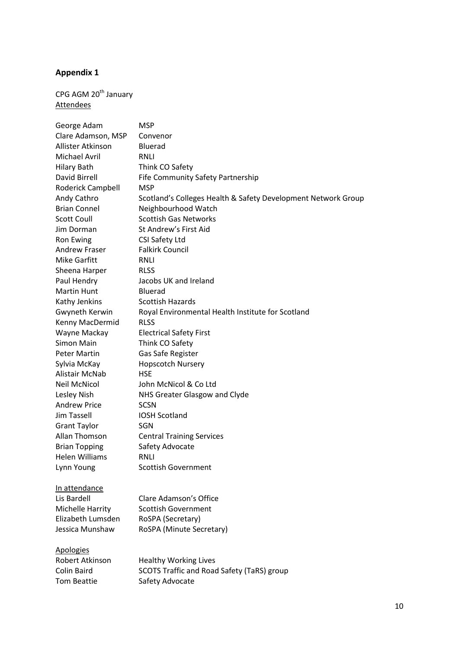# **Appendix 1**

# CPG AGM  $20<sup>th</sup>$  January **Attendees**

| George Adam           | <b>MSP</b>                                                    |
|-----------------------|---------------------------------------------------------------|
| Clare Adamson, MSP    | Convenor                                                      |
| Allister Atkinson     | <b>Bluerad</b>                                                |
| <b>Michael Avril</b>  | <b>RNLI</b>                                                   |
| <b>Hilary Bath</b>    | Think CO Safety                                               |
| David Birrell         | Fife Community Safety Partnership                             |
| Roderick Campbell     | MSP                                                           |
| Andy Cathro           | Scotland's Colleges Health & Safety Development Network Group |
| <b>Brian Connel</b>   | Neighbourhood Watch                                           |
| <b>Scott Coull</b>    | <b>Scottish Gas Networks</b>                                  |
| Jim Dorman            | St Andrew's First Aid                                         |
| Ron Ewing             | CSI Safety Ltd                                                |
| Andrew Fraser         | <b>Falkirk Council</b>                                        |
| <b>Mike Garfitt</b>   | <b>RNLI</b>                                                   |
| Sheena Harper         | <b>RLSS</b>                                                   |
| Paul Hendry           | Jacobs UK and Ireland                                         |
| <b>Martin Hunt</b>    | Bluerad                                                       |
| Kathy Jenkins         | <b>Scottish Hazards</b>                                       |
| Gwyneth Kerwin        | Royal Environmental Health Institute for Scotland             |
| Kenny MacDermid       | <b>RLSS</b>                                                   |
| Wayne Mackay          | <b>Electrical Safety First</b>                                |
| Simon Main            | Think CO Safety                                               |
| <b>Peter Martin</b>   | Gas Safe Register                                             |
| Sylvia McKay          | <b>Hopscotch Nursery</b>                                      |
| Alistair McNab        | <b>HSE</b>                                                    |
| <b>Neil McNicol</b>   | John McNicol & Co Ltd                                         |
| Lesley Nish           | NHS Greater Glasgow and Clyde                                 |
| <b>Andrew Price</b>   | <b>SCSN</b>                                                   |
| Jim Tassell           | <b>IOSH Scotland</b>                                          |
| <b>Grant Taylor</b>   | SGN                                                           |
| Allan Thomson         | <b>Central Training Services</b>                              |
| <b>Brian Topping</b>  | Safety Advocate                                               |
| <b>Helen Williams</b> | <b>RNLI</b>                                                   |
| Lynn Young            | <b>Scottish Government</b>                                    |
| In attendance         |                                                               |
| Lis Bardell           | Clare Adamson's Office                                        |
| Michelle Harrity      | <b>Scottish Government</b>                                    |
| Elizabeth Lumsden     | RoSPA (Secretary)                                             |
| Jessica Munshaw       | RoSPA (Minute Secretary)                                      |
| <b>Apologies</b>      |                                                               |
| Robert Atkinson       | <b>Healthy Working Lives</b>                                  |
| <b>Colin Baird</b>    | SCOTS Traffic and Road Safety (TaRS) group                    |
| <b>Tom Beattie</b>    | Safety Advocate                                               |